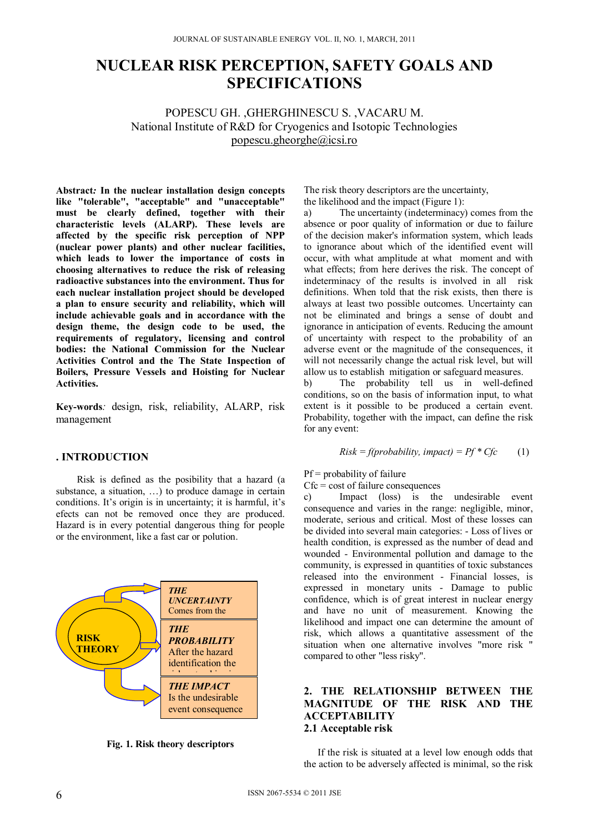# **NUCLEAR RISK PERCEPTION, SAFETY GOALS AND SPECIFICATIONS**

POPESCU GH. ,GHERGHINESCU S. ,VACARU M. National Institute of R&D for Cryogenics and Isotopic Technologies popescu.gheorghe@icsi.ro

**Abstract***:* **In the nuclear installation design concepts like "tolerable", "acceptable" and "unacceptable" must be clearly defined, together with their characteristic levels (ALARP). These levels are affected by the specific risk perception of NPP (nuclear power plants) and other nuclear facilities, which leads to lower the importance of costs in choosing alternatives to reduce the risk of releasing radioactive substances into the environment. Thus for each nuclear installation project should be developed a plan to ensure security and reliability, which will include achievable goals and in accordance with the design theme, the design code to be used, the requirements of regulatory, licensing and control bodies: the National Commission for the Nuclear Activities Control and the The State Inspection of Boilers, Pressure Vessels and Hoisting for Nuclear Activities.**

**Key-words***:* design, risk, reliability, ALARP, risk management

#### **. INTRODUCTION**

Risk is defined as the posibility that a hazard (a substance, a situation, …) to produce damage in certain conditions. It's origin is in uncertainty; it is harmful, it's efects can not be removed once they are produced. Hazard is in every potential dangerous thing for people or the environment, like a fast car or polution.



**Fig. 1. Risk theory descriptors** 

The risk theory descriptors are the uncertainty, the likelihood and the impact (Figure 1):

a) The uncertainty (indeterminacy) comes from the absence or poor quality of information or due to failure of the decision maker's information system, which leads to ignorance about which of the identified event will occur, with what amplitude at what moment and with what effects; from here derives the risk. The concept of indeterminacy of the results is involved in all risk definitions. When told that the risk exists, then there is always at least two possible outcomes. Uncertainty can not be eliminated and brings a sense of doubt and ignorance in anticipation of events. Reducing the amount of uncertainty with respect to the probability of an adverse event or the magnitude of the consequences, it will not necessarily change the actual risk level, but will allow us to establish mitigation or safeguard measures.

b) The probability tell us in well-defined conditions, so on the basis of information input, to what extent is it possible to be produced a certain event. Probability, together with the impact, can define the risk for any event:

$$
Risk = f(probability, impact) = Pf * Cfc \qquad (1)
$$

 $Pf = probability of failure$ 

 $Cfc = \text{cost of failure consequences}$ 

c) Impact (loss) is the undesirable event consequence and varies in the range: negligible, minor, moderate, serious and critical. Most of these losses can be divided into several main categories: - Loss of lives or health condition, is expressed as the number of dead and wounded - Environmental pollution and damage to the community, is expressed in quantities of toxic substances released into the environment - Financial losses, is expressed in monetary units - Damage to public confidence, which is of great interest in nuclear energy and have no unit of measurement. Knowing the likelihood and impact one can determine the amount of risk, which allows a quantitative assessment of the situation when one alternative involves "more risk " compared to other "less risky".

## **2. THE RELATIONSHIP BETWEEN THE MAGNITUDE OF THE RISK AND THE ACCEPTABILITY 2.1 Acceptable risk**

If the risk is situated at a level low enough odds that the action to be adversely affected is minimal, so the risk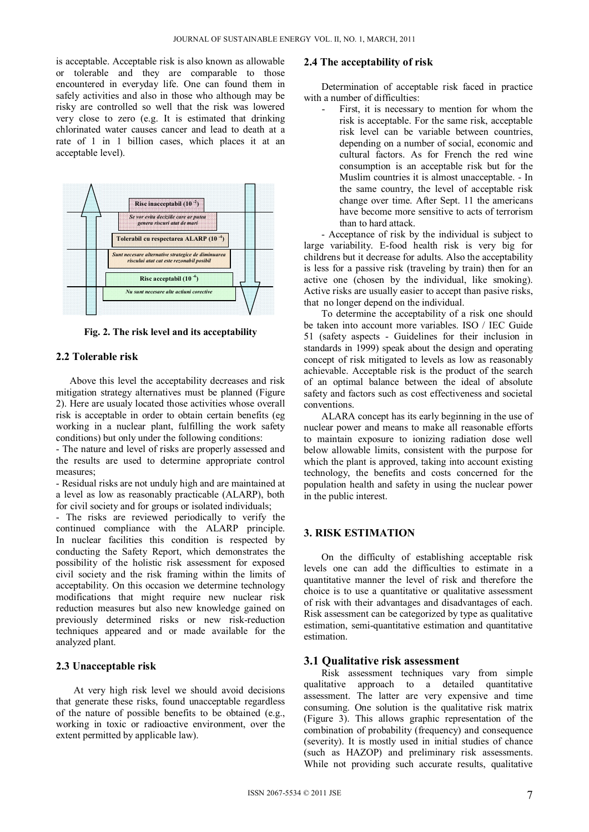is acceptable. Acceptable risk is also known as allowable or tolerable and they are comparable to those encountered in everyday life. One can found them in safely activities and also in those who although may be risky are controlled so well that the risk was lowered very close to zero (e.g. It is estimated that drinking chlorinated water causes cancer and lead to death at a rate of 1 in 1 billion cases, which places it at an acceptable level).



**Fig. 2. The risk level and its acceptability** 

## **2.2 Tolerable risk**

Above this level the acceptability decreases and risk mitigation strategy alternatives must be planned (Figure 2). Here are usualy located those activities whose overall risk is acceptable in order to obtain certain benefits (eg working in a nuclear plant, fulfilling the work safety conditions) but only under the following conditions:

- The nature and level of risks are properly assessed and the results are used to determine appropriate control measures;

- Residual risks are not unduly high and are maintained at a level as low as reasonably practicable (ALARP), both for civil society and for groups or isolated individuals;

- The risks are reviewed periodically to verify the continued compliance with the ALARP principle. In nuclear facilities this condition is respected by conducting the Safety Report, which demonstrates the possibility of the holistic risk assessment for exposed civil society and the risk framing within the limits of acceptability. On this occasion we determine technology modifications that might require new nuclear risk reduction measures but also new knowledge gained on previously determined risks or new risk-reduction techniques appeared and or made available for the analyzed plant.

# **2.3 Unacceptable risk**

At very high risk level we should avoid decisions that generate these risks, found unacceptable regardless of the nature of possible benefits to be obtained (e.g., working in toxic or radioactive environment, over the extent permitted by applicable law).

## **2.4 The acceptability of risk**

Determination of acceptable risk faced in practice with a number of difficulties:

First, it is necessary to mention for whom the risk is acceptable. For the same risk, acceptable risk level can be variable between countries, depending on a number of social, economic and cultural factors. As for French the red wine consumption is an acceptable risk but for the Muslim countries it is almost unacceptable. - In the same country, the level of acceptable risk change over time. After Sept. 11 the americans have become more sensitive to acts of terrorism than to hard attack.

- Acceptance of risk by the individual is subject to large variability. E-food health risk is very big for childrens but it decrease for adults. Also the acceptability is less for a passive risk (traveling by train) then for an active one (chosen by the individual, like smoking). Active risks are usually easier to accept than pasive risks, that no longer depend on the individual.

To determine the acceptability of a risk one should be taken into account more variables. ISO / IEC Guide 51 (safety aspects - Guidelines for their inclusion in standards in 1999) speak about the design and operating concept of risk mitigated to levels as low as reasonably achievable. Acceptable risk is the product of the search of an optimal balance between the ideal of absolute safety and factors such as cost effectiveness and societal conventions.

ALARA concept has its early beginning in the use of nuclear power and means to make all reasonable efforts to maintain exposure to ionizing radiation dose well below allowable limits, consistent with the purpose for which the plant is approved, taking into account existing technology, the benefits and costs concerned for the population health and safety in using the nuclear power in the public interest.

# **3. RISK ESTIMATION**

On the difficulty of establishing acceptable risk levels one can add the difficulties to estimate in a quantitative manner the level of risk and therefore the choice is to use a quantitative or qualitative assessment of risk with their advantages and disadvantages of each. Risk assessment can be categorized by type as qualitative estimation, semi-quantitative estimation and quantitative estimation.

## **3.1 Qualitative risk assessment**

Risk assessment techniques vary from simple qualitative approach to a detailed quantitative assessment. The latter are very expensive and time consuming. One solution is the qualitative risk matrix (Figure 3). This allows graphic representation of the combination of probability (frequency) and consequence (severity). It is mostly used in initial studies of chance (such as HAZOP) and preliminary risk assessments. While not providing such accurate results, qualitative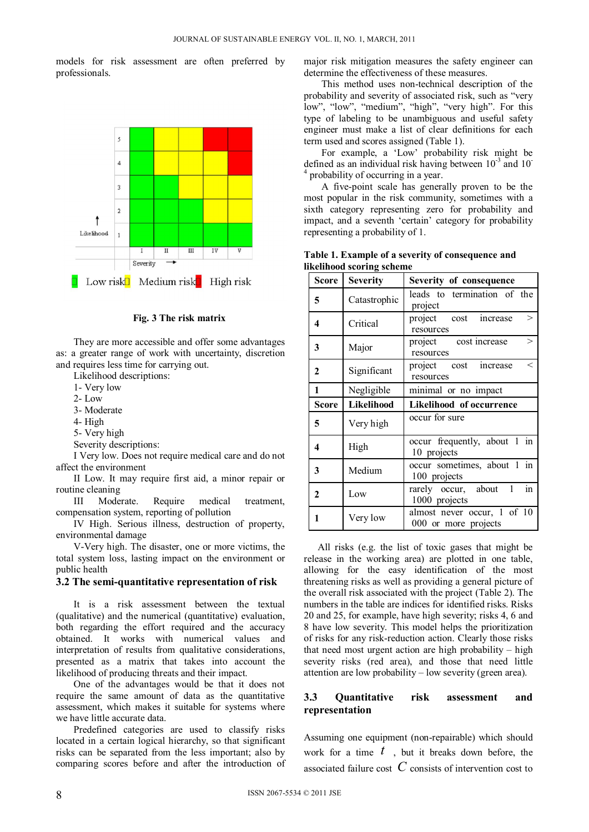models for risk assessment are often preferred by professionals.



#### **Fig. 3 The risk matrix**

They are more accessible and offer some advantages as: a greater range of work with uncertainty, discretion and requires less time for carrying out.

Likelihood descriptions:

- 1- Very low
- 2- Low
- 3- Moderate
- 4- High
- 5- Very high
- Severity descriptions:

I Very low. Does not require medical care and do not affect the environment

II Low. It may require first aid, a minor repair or routine cleaning

III Moderate. Require medical treatment, compensation system, reporting of pollution

IV High. Serious illness, destruction of property, environmental damage

V-Very high. The disaster, one or more victims, the total system loss, lasting impact on the environment or public health

#### **3.2 The semi-quantitative representation of risk**

It is a risk assessment between the textual (qualitative) and the numerical (quantitative) evaluation, both regarding the effort required and the accuracy obtained. It works with numerical values and interpretation of results from qualitative considerations, presented as a matrix that takes into account the likelihood of producing threats and their impact.

One of the advantages would be that it does not require the same amount of data as the quantitative assessment, which makes it suitable for systems where we have little accurate data.

Predefined categories are used to classify risks located in a certain logical hierarchy, so that significant risks can be separated from the less important; also by comparing scores before and after the introduction of major risk mitigation measures the safety engineer can determine the effectiveness of these measures.

This method uses non-technical description of the probability and severity of associated risk, such as "very low", "low", "medium", "high", "very high". For this type of labeling to be unambiguous and useful safety engineer must make a list of clear definitions for each term used and scores assigned (Table 1).

For example, a 'Low' probability risk might be defined as an individual risk having between  $10^{-3}$  and  $10^{-7}$ 4 probability of occurring in a year.

A five-point scale has generally proven to be the most popular in the risk community, sometimes with a sixth category representing zero for probability and impact, and a seventh 'certain' category for probability representing a probability of 1.

|                           | Table 1. Example of a severity of consequence and |  |  |  |  |  |  |  |  |  |
|---------------------------|---------------------------------------------------|--|--|--|--|--|--|--|--|--|
| likelihood scoring scheme |                                                   |  |  |  |  |  |  |  |  |  |
|                           |                                                   |  |  |  |  |  |  |  |  |  |

| Score        | <b>Severity</b>                        | Severity of consequence                             |  |  |  |  |  |
|--------------|----------------------------------------|-----------------------------------------------------|--|--|--|--|--|
| 5            | Catastrophic                           | leads to termination of the<br>project              |  |  |  |  |  |
| 4            | Critical                               | project cost<br>$\geq$<br>increase<br>resources     |  |  |  |  |  |
| 3            | Major                                  | project cost increase<br>$\mathbf{I}$<br>resources  |  |  |  |  |  |
| 2            | Significant                            | project cost<br>increase<br>$\,<\,$<br>resources    |  |  |  |  |  |
| 1            | Negligible                             | minimal or no impact                                |  |  |  |  |  |
| <b>Score</b> | Likelihood<br>Likelihood of occurrence |                                                     |  |  |  |  |  |
| 5            | Very high                              | occur for sure                                      |  |  |  |  |  |
| 4            | High                                   | occur frequently, about 1 in<br>10 projects         |  |  |  |  |  |
| 3            | Medium                                 | occur sometimes, about 1 in<br>100 projects         |  |  |  |  |  |
| $\mathbf{2}$ | Low                                    | in<br>rarely occur, about<br>1<br>1000 projects     |  |  |  |  |  |
| 1            | Very low                               | almost never occur, 1 of 10<br>000 or more projects |  |  |  |  |  |

All risks (e.g. the list of toxic gases that might be release in the working area) are plotted in one table, allowing for the easy identification of the most threatening risks as well as providing a general picture of the overall risk associated with the project (Table 2). The numbers in the table are indices for identified risks. Risks 20 and 25, for example, have high severity; risks 4, 6 and 8 have low severity. This model helps the prioritization of risks for any risk-reduction action. Clearly those risks that need most urgent action are high probability – high severity risks (red area), and those that need little attention are low probability – low severity (green area).

# **3.3 Quantitative risk assessment and representation**

Assuming one equipment (non-repairable) which should work for a time  $t$ , but it breaks down before, the associated failure cost *C* consists of intervention cost to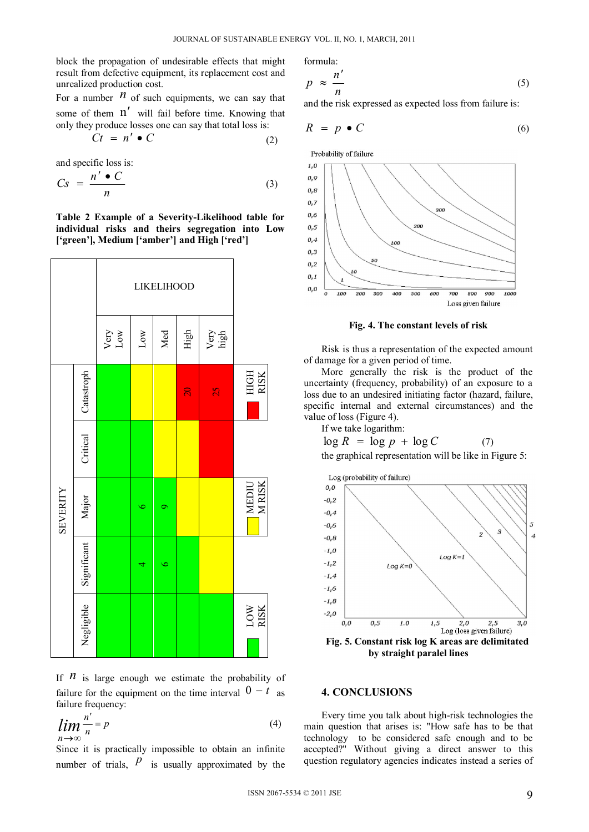formula:

block the propagation of undesirable effects that might result from defective equipment, its replacement cost and unrealized production cost.

For a number  $\hat{n}$  of such equipments, we can say that some of them  $n'$  will fail before time. Knowing that only they produce losses one can say that total loss is:

$$
Ct = n' \bullet C \tag{2}
$$

and specific loss is:

$$
Cs = \frac{n' \bullet C}{n} \tag{3}
$$

**Table 2 Example of a Severity-Likelihood table for individual risks and theirs segregation into Low ['green'], Medium ['amber'] and High ['red']** 



If  *is large enough we estimate the probability of* failure for the equipment on the time interval  $0 - t$  as failure frequency:

$$
\lim_{n \to \infty} \frac{n'}{n} = p \tag{4}
$$

Since it is practically impossible to obtain an infinite number of trials,  $\hat{p}$  is usually approximated by the

$$
p \approx \frac{n'}{n} \tag{5}
$$

and the risk expressed as expected loss from failure is:

$$
R = p \bullet C \tag{6}
$$

Probability of failure



**Fig. 4. The constant levels of risk** 

Risk is thus a representation of the expected amount of damage for a given period of time.

More generally the risk is the product of the uncertainty (frequency, probability) of an exposure to a loss due to an undesired initiating factor (hazard, failure, specific internal and external circumstances) and the value of loss (Figure 4).

If we take logarithm:

$$
\log R = \log p + \log C
$$
 (7)  
the graphical representation will be like in Figure 5:



### **4. CONCLUSIONS**

Every time you talk about high-risk technologies the main question that arises is: "How safe has to be that technology to be considered safe enough and to be accepted?" Without giving a direct answer to this question regulatory agencies indicates instead a series of